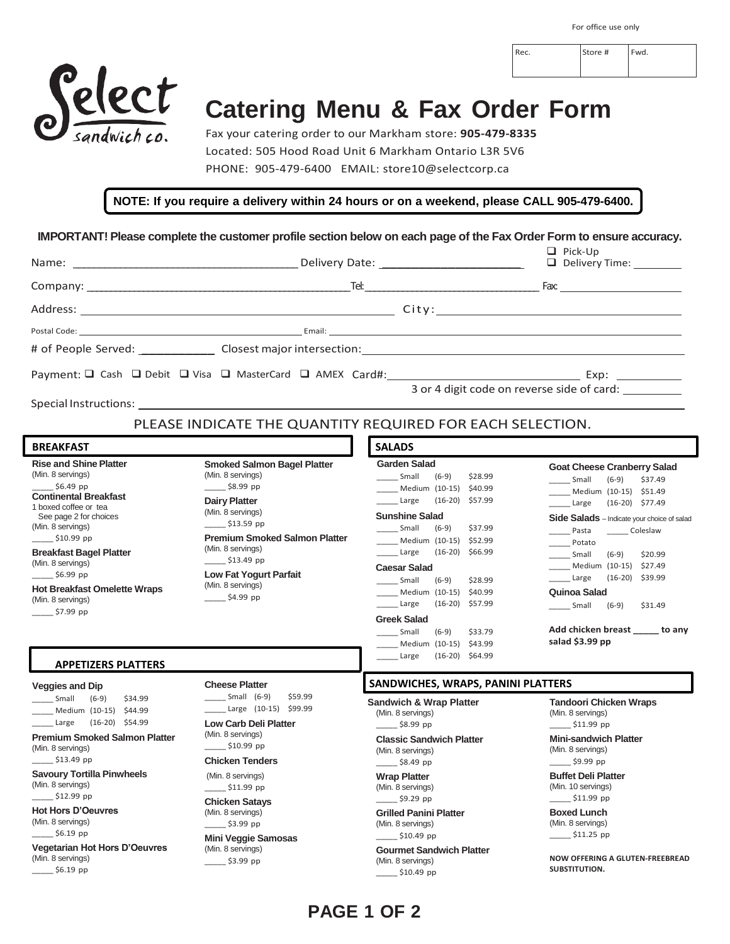Rec. Store # Fwd.



## **Catering Menu & Fax Order Form**

Fax your catering order to our Markham store: **905-479-8335** Located: 505 Hood Road Unit 6 Markham Ontario L3R 5V6 PHONE: 905-479-6400 EMAIL: store10@selectcorp.ca

**NOTE: If you require a delivery within 24 hours or on a weekend, please CALL 905-479-6400.**

**IMPORTANT! Please complete the customer profile section below on each page of the Fax Order Form to ensure accuracy.**

|                                                                      |                                                       | $\Box$ Pick-Up<br>Delivery Time: ________ |
|----------------------------------------------------------------------|-------------------------------------------------------|-------------------------------------------|
|                                                                      |                                                       |                                           |
|                                                                      |                                                       |                                           |
|                                                                      |                                                       |                                           |
| # of People Served: Closest major intersection: Example 2014 12:2016 |                                                       |                                           |
|                                                                      |                                                       |                                           |
|                                                                      | 3 or 4 digit code on reverse side of card: __________ |                                           |
|                                                                      |                                                       |                                           |

PLEASE INDICATE THE QUANTITY REQUIRED FOR EACH SELECTION.

| <b>BREAKFAST</b>                                                                                                                                                                                                                              |                                                                                                                                                                                                                           | <b>SALADS</b>                                                                                                                                                                                                                                        |                                                                                                                                                                                                                                                                  |
|-----------------------------------------------------------------------------------------------------------------------------------------------------------------------------------------------------------------------------------------------|---------------------------------------------------------------------------------------------------------------------------------------------------------------------------------------------------------------------------|------------------------------------------------------------------------------------------------------------------------------------------------------------------------------------------------------------------------------------------------------|------------------------------------------------------------------------------------------------------------------------------------------------------------------------------------------------------------------------------------------------------------------|
| <b>Rise and Shine Platter</b><br>(Min. 8 servings)<br>\$6.49 pp<br><b>Continental Breakfast</b><br>1 boxed coffee or tea<br>See page 2 for choices<br>(Min. 8 servings)<br>$$10.99$ pp<br><b>Breakfast Bagel Platter</b><br>(Min. 8 servings) | <b>Smoked Salmon Bagel Platter</b><br>(Min. 8 servings)<br>$$8.99$ pp<br><b>Dairy Platter</b><br>(Min. 8 servings)<br>\$13.59 pp<br><b>Premium Smoked Salmon Platter</b><br>(Min. 8 servings)<br>$\frac{1}{2}$ \$13.49 pp | <b>Garden Salad</b><br>\$28.99<br>Small<br>$(6-9)$<br>Medium (10-15)<br>\$40.99<br>$(16-20)$ \$57.99<br>Large<br><b>Sunshine Salad</b><br>Small<br>\$37.99<br>$(6-9)$<br>Medium (10-15) \$52.99<br>$(16-20)$ \$66.99<br>Large<br><b>Caesar Salad</b> | <b>Goat Cheese Cranberry Salad</b><br>Small<br>$(6-9)$<br>\$37.49<br>Medium (10-15) \$51.49<br>$(16-20)$ \$77.49<br>Large<br>Side Salads - Indicate your choice of salad<br>Pasta<br>Coleslaw<br>Potato<br>\$20.99<br>Small<br>$(6-9)$<br>Medium (10-15) \$27.49 |
| \$6.99 pp<br><b>Hot Breakfast Omelette Wraps</b><br>(Min. 8 servings)<br>$\frac{1}{2}$ \$7.99 pp<br><b>APPETIZERS PLATTERS</b>                                                                                                                | <b>Low Fat Yogurt Parfait</b><br>(Min. 8 servings)<br>\$4.99 pp                                                                                                                                                           | \$28.99<br>Small<br>$(6-9)$<br>Medium (10-15) \$40.99<br>$(16-20)$ \$57.99<br>Large<br><b>Greek Salad</b><br>\$33.79<br>Small<br>$(6-9)$<br>Medium (10-15) \$43.99<br>$(16-20)$ \$64.99<br>Large                                                     | $(16-20)$ \$39.99<br>Large<br><b>Quinoa Salad</b><br>Small (6-9)<br>\$31.49<br>Add chicken breast to any<br>salad \$3.99 pp                                                                                                                                      |
| SANDWICHES, WRAPS, PANINI PLATTERS<br><b>Cheese Platter</b><br><b>Veggies and Dip</b>                                                                                                                                                         |                                                                                                                                                                                                                           |                                                                                                                                                                                                                                                      |                                                                                                                                                                                                                                                                  |
| Small<br>$(6-9)$<br>\$34.99<br>Medium (10-15) \$44.99<br>$(16-20)$ \$54.99<br>Large<br><b>Premium Smoked Salmon Platter</b><br>(Min. 8 servings)<br>\$13.49 pp<br><b>Savoury Tortilla Pinwheels</b>                                           | Small $(6-9)$<br>\$59.99<br>Large (10-15) \$99.99<br><b>Low Carb Deli Platter</b><br>(Min. 8 servings)<br>$\frac{$10.99}{2}$ pp<br><b>Chicken Tenders</b><br>(Min. 8 servings)                                            | <b>Sandwich &amp; Wrap Platter</b><br>(Min. 8 servings)<br>\$8.99 pp<br><b>Classic Sandwich Platter</b><br>(Min. 8 servings)<br>$\frac{1}{2}$ \$8.49 pp<br><b>Wrap Platter</b>                                                                       | <b>Tandoori Chicken Wraps</b><br>(Min. 8 servings)<br>\$11.99 pp<br><b>Mini-sandwich Platter</b><br>(Min. 8 servings)<br>\$9.99 pp<br><b>Buffet Deli Platter</b>                                                                                                 |
| (Min. 8 servings)<br>$$12.99$ pp                                                                                                                                                                                                              | \$11.99 pp<br><b>Chicken Satavs</b>                                                                                                                                                                                       | (Min. 8 servings)<br>$\frac{1}{2}$ \$9.29 pp                                                                                                                                                                                                         | (Min. 10 servings)<br>\$11.99 pp                                                                                                                                                                                                                                 |

**Hot Hors D'Oeuvres** (Min. 8 servings)  $\_$ \$6.19 pp

**Vegetarian Hot Hors D'Oeuvres** (Min. 8 servings)  $\frac{56.19}{2}$  pp

**Chicken Satays** (Min. 8 servings)

 $\_$ \$3.99 pp **Mini Veggie Samosas** (Min. 8 servings)

\_\_\_\_\_ \$3.99 pp

**Grilled Panini Platter** (Min. 8 servings)  $\_$ \$10.49 pp

**Gourmet Sandwich Platter** (Min. 8 servings) \_\_\_\_\_ \$10.49 pp

**Boxed Lunch** (Min. 8 servings) \_\_\_\_\_ \$11.25 pp

**NOW OFFERING A GLUTEN-FREEBREAD SUBSTITUTION.**

## **PAGE 1 OF 2**